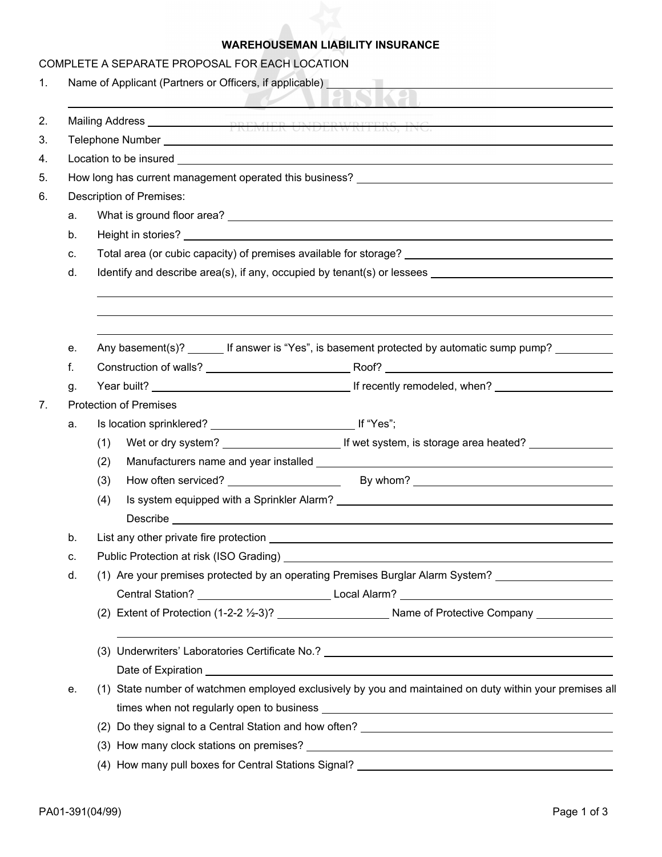## **WAREHOUSEMAN LIABILITY INSURANCE**

|    |          |                                                                                                                                                                                                                                | COMPLETE A SEPARATE PROPOSAL FOR EACH LOCATION |                                                                                                          |  |  |  |  |  |  |  |
|----|----------|--------------------------------------------------------------------------------------------------------------------------------------------------------------------------------------------------------------------------------|------------------------------------------------|----------------------------------------------------------------------------------------------------------|--|--|--|--|--|--|--|
| 1. |          | Name of Applicant (Partners or Officers, if applicable) example and a set of Applicant Control of Applicant Control of Applicable and Applicable and Application of Application of Application of Application of Application o |                                                |                                                                                                          |  |  |  |  |  |  |  |
|    |          | $\sim$                                                                                                                                                                                                                         |                                                |                                                                                                          |  |  |  |  |  |  |  |
| 2. |          |                                                                                                                                                                                                                                |                                                |                                                                                                          |  |  |  |  |  |  |  |
| 3. |          |                                                                                                                                                                                                                                |                                                |                                                                                                          |  |  |  |  |  |  |  |
| 4. |          |                                                                                                                                                                                                                                |                                                |                                                                                                          |  |  |  |  |  |  |  |
| 5. |          | How long has current management operated this business? _________________________                                                                                                                                              |                                                |                                                                                                          |  |  |  |  |  |  |  |
| 6. |          | <b>Description of Premises:</b>                                                                                                                                                                                                |                                                |                                                                                                          |  |  |  |  |  |  |  |
|    | a.       |                                                                                                                                                                                                                                |                                                |                                                                                                          |  |  |  |  |  |  |  |
|    | b.       |                                                                                                                                                                                                                                |                                                |                                                                                                          |  |  |  |  |  |  |  |
|    | C.       |                                                                                                                                                                                                                                |                                                |                                                                                                          |  |  |  |  |  |  |  |
|    | d.       |                                                                                                                                                                                                                                |                                                |                                                                                                          |  |  |  |  |  |  |  |
|    |          |                                                                                                                                                                                                                                |                                                |                                                                                                          |  |  |  |  |  |  |  |
|    |          |                                                                                                                                                                                                                                |                                                |                                                                                                          |  |  |  |  |  |  |  |
|    |          |                                                                                                                                                                                                                                |                                                | Any basement(s)? ________ If answer is "Yes", is basement protected by automatic sump pump? ________     |  |  |  |  |  |  |  |
|    | е.<br>f. |                                                                                                                                                                                                                                |                                                |                                                                                                          |  |  |  |  |  |  |  |
|    |          |                                                                                                                                                                                                                                |                                                |                                                                                                          |  |  |  |  |  |  |  |
| 7. | g.       | <b>Protection of Premises</b>                                                                                                                                                                                                  |                                                |                                                                                                          |  |  |  |  |  |  |  |
|    | a.       |                                                                                                                                                                                                                                |                                                |                                                                                                          |  |  |  |  |  |  |  |
|    |          | (1)                                                                                                                                                                                                                            |                                                |                                                                                                          |  |  |  |  |  |  |  |
|    |          | (2)                                                                                                                                                                                                                            |                                                |                                                                                                          |  |  |  |  |  |  |  |
|    |          | (3)                                                                                                                                                                                                                            |                                                |                                                                                                          |  |  |  |  |  |  |  |
|    |          | (4)                                                                                                                                                                                                                            |                                                |                                                                                                          |  |  |  |  |  |  |  |
|    |          |                                                                                                                                                                                                                                |                                                |                                                                                                          |  |  |  |  |  |  |  |
|    | b.       |                                                                                                                                                                                                                                | List any other private fire protection         |                                                                                                          |  |  |  |  |  |  |  |
|    | C.       |                                                                                                                                                                                                                                |                                                |                                                                                                          |  |  |  |  |  |  |  |
|    | d.       | (1) Are your premises protected by an operating Premises Burglar Alarm System?                                                                                                                                                 |                                                |                                                                                                          |  |  |  |  |  |  |  |
|    |          |                                                                                                                                                                                                                                |                                                |                                                                                                          |  |  |  |  |  |  |  |
|    |          |                                                                                                                                                                                                                                |                                                |                                                                                                          |  |  |  |  |  |  |  |
|    |          |                                                                                                                                                                                                                                |                                                |                                                                                                          |  |  |  |  |  |  |  |
|    |          |                                                                                                                                                                                                                                |                                                | Date of Expiration <b>contract to the Contract of Expiration</b> and Contract of Expiration              |  |  |  |  |  |  |  |
|    | е.       |                                                                                                                                                                                                                                |                                                | (1) State number of watchmen employed exclusively by you and maintained on duty within your premises all |  |  |  |  |  |  |  |
|    |          |                                                                                                                                                                                                                                |                                                |                                                                                                          |  |  |  |  |  |  |  |
|    |          |                                                                                                                                                                                                                                |                                                |                                                                                                          |  |  |  |  |  |  |  |
|    |          |                                                                                                                                                                                                                                |                                                |                                                                                                          |  |  |  |  |  |  |  |
|    |          |                                                                                                                                                                                                                                |                                                |                                                                                                          |  |  |  |  |  |  |  |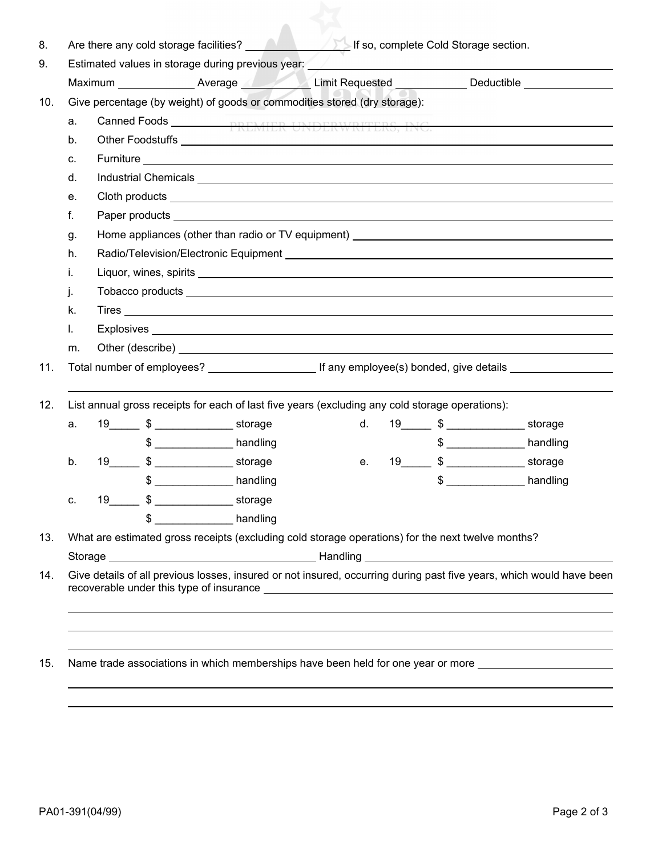|                                                                                                                                                                                                                                           |  |    | Maximum Nuevage Alexander Communication Communication Average Communication Communication Communication Communication Communication Communication Communication Communication Communication Communication Communication Commun       |    |  |               |              |  |  |
|-------------------------------------------------------------------------------------------------------------------------------------------------------------------------------------------------------------------------------------------|--|----|--------------------------------------------------------------------------------------------------------------------------------------------------------------------------------------------------------------------------------------|----|--|---------------|--------------|--|--|
| Give percentage (by weight) of goods or commodities stored (dry storage):                                                                                                                                                                 |  |    |                                                                                                                                                                                                                                      |    |  |               |              |  |  |
| a.                                                                                                                                                                                                                                        |  |    |                                                                                                                                                                                                                                      |    |  |               |              |  |  |
| b.                                                                                                                                                                                                                                        |  |    |                                                                                                                                                                                                                                      |    |  |               |              |  |  |
| c.                                                                                                                                                                                                                                        |  |    |                                                                                                                                                                                                                                      |    |  |               |              |  |  |
| d.                                                                                                                                                                                                                                        |  |    |                                                                                                                                                                                                                                      |    |  |               |              |  |  |
| е.                                                                                                                                                                                                                                        |  |    |                                                                                                                                                                                                                                      |    |  |               |              |  |  |
| f.                                                                                                                                                                                                                                        |  |    |                                                                                                                                                                                                                                      |    |  |               |              |  |  |
| Home appliances (other than radio or TV equipment) ______________________________<br>g.                                                                                                                                                   |  |    |                                                                                                                                                                                                                                      |    |  |               |              |  |  |
| h.                                                                                                                                                                                                                                        |  |    |                                                                                                                                                                                                                                      |    |  |               |              |  |  |
| i.                                                                                                                                                                                                                                        |  |    |                                                                                                                                                                                                                                      |    |  |               |              |  |  |
| j.                                                                                                                                                                                                                                        |  |    | Tobacco products <b>expression of the contract of the contract of the contract of the contract of the contract of the contract of the contract of the contract of the contract of the contract of the contract of the contract o</b> |    |  |               |              |  |  |
| k.                                                                                                                                                                                                                                        |  |    |                                                                                                                                                                                                                                      |    |  |               |              |  |  |
| I.                                                                                                                                                                                                                                        |  |    |                                                                                                                                                                                                                                      |    |  |               |              |  |  |
| Other (describe) <b>Example 20</b> Section 20 Section 20 Section 20 Section 20 Section 20 Section 20 Section 20 Section 20 Section 20 Section 20 Section 20 Section 20 Section 20 Section 20 Section 20 Section 20 Section 20 Secti<br>m. |  |    |                                                                                                                                                                                                                                      |    |  |               |              |  |  |
|                                                                                                                                                                                                                                           |  |    |                                                                                                                                                                                                                                      |    |  |               |              |  |  |
|                                                                                                                                                                                                                                           |  |    |                                                                                                                                                                                                                                      |    |  |               |              |  |  |
|                                                                                                                                                                                                                                           |  |    | List annual gross receipts for each of last five years (excluding any cold storage operations):                                                                                                                                      |    |  |               |              |  |  |
| a.                                                                                                                                                                                                                                        |  |    | 19 \$ storage                                                                                                                                                                                                                        | d. |  | 19 \$         |              |  |  |
|                                                                                                                                                                                                                                           |  |    | $\frac{1}{2}$ handling                                                                                                                                                                                                               |    |  |               | $$$ handling |  |  |
|                                                                                                                                                                                                                                           |  |    |                                                                                                                                                                                                                                      | е. |  | 19 \$ storage |              |  |  |
| $b$ .                                                                                                                                                                                                                                     |  | \$ | handling                                                                                                                                                                                                                             |    |  | \$            | handling     |  |  |
|                                                                                                                                                                                                                                           |  |    | 19_________ \$ _____________________ storage                                                                                                                                                                                         |    |  |               |              |  |  |
| C.                                                                                                                                                                                                                                        |  |    | $$$ handling                                                                                                                                                                                                                         |    |  |               |              |  |  |
|                                                                                                                                                                                                                                           |  |    |                                                                                                                                                                                                                                      |    |  |               |              |  |  |
|                                                                                                                                                                                                                                           |  |    | What are estimated gross receipts (excluding cold storage operations) for the next twelve months?                                                                                                                                    |    |  |               |              |  |  |
|                                                                                                                                                                                                                                           |  |    |                                                                                                                                                                                                                                      |    |  |               |              |  |  |
|                                                                                                                                                                                                                                           |  |    | Give details of all previous losses, insured or not insured, occurring during past five years, which would have been                                                                                                                 |    |  |               |              |  |  |